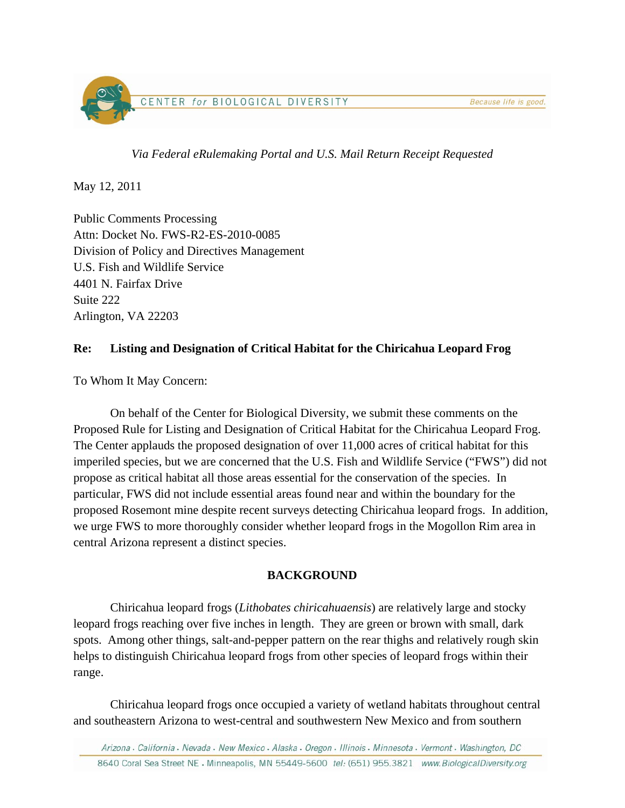

*Via Federal eRulemaking Portal and U.S. Mail Return Receipt Requested* 

May 12, 2011

Public Comments Processing Attn: Docket No. FWS-R2-ES-2010-0085 Division of Policy and Directives Management U.S. Fish and Wildlife Service 4401 N. Fairfax Drive Suite 222 Arlington, VA 22203

## **Re: Listing and Designation of Critical Habitat for the Chiricahua Leopard Frog**

To Whom It May Concern:

 On behalf of the Center for Biological Diversity, we submit these comments on the Proposed Rule for Listing and Designation of Critical Habitat for the Chiricahua Leopard Frog. The Center applauds the proposed designation of over 11,000 acres of critical habitat for this imperiled species, but we are concerned that the U.S. Fish and Wildlife Service ("FWS") did not propose as critical habitat all those areas essential for the conservation of the species. In particular, FWS did not include essential areas found near and within the boundary for the proposed Rosemont mine despite recent surveys detecting Chiricahua leopard frogs. In addition, we urge FWS to more thoroughly consider whether leopard frogs in the Mogollon Rim area in central Arizona represent a distinct species.

## **BACKGROUND**

Chiricahua leopard frogs (*Lithobates chiricahuaensis*) are relatively large and stocky leopard frogs reaching over five inches in length. They are green or brown with small, dark spots. Among other things, salt-and-pepper pattern on the rear thighs and relatively rough skin helps to distinguish Chiricahua leopard frogs from other species of leopard frogs within their range.

Chiricahua leopard frogs once occupied a variety of wetland habitats throughout central and southeastern Arizona to west-central and southwestern New Mexico and from southern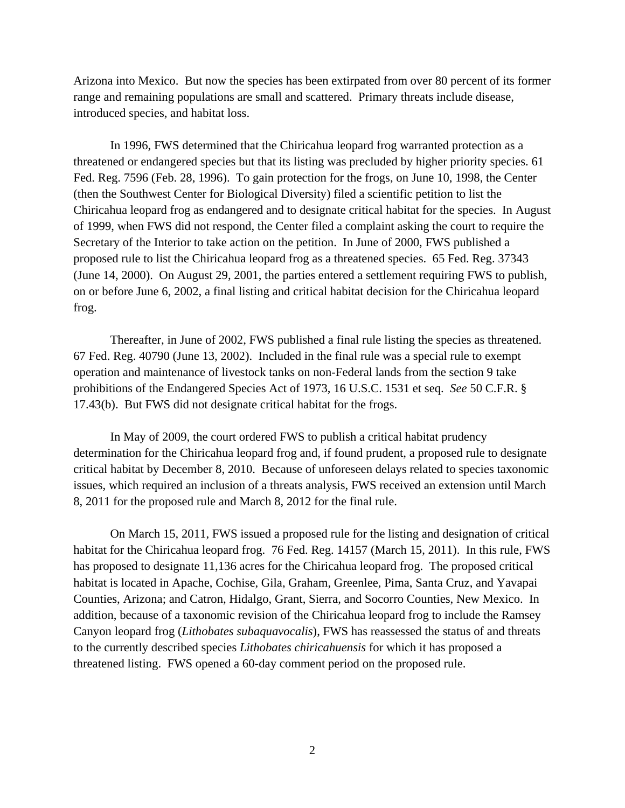Arizona into Mexico. But now the species has been extirpated from over 80 percent of its former range and remaining populations are small and scattered. Primary threats include disease, introduced species, and habitat loss.

 In 1996, FWS determined that the Chiricahua leopard frog warranted protection as a threatened or endangered species but that its listing was precluded by higher priority species. 61 Fed. Reg. 7596 (Feb. 28, 1996). To gain protection for the frogs, on June 10, 1998, the Center (then the Southwest Center for Biological Diversity) filed a scientific petition to list the Chiricahua leopard frog as endangered and to designate critical habitat for the species. In August of 1999, when FWS did not respond, the Center filed a complaint asking the court to require the Secretary of the Interior to take action on the petition. In June of 2000, FWS published a proposed rule to list the Chiricahua leopard frog as a threatened species. 65 Fed. Reg. 37343 (June 14, 2000). On August 29, 2001, the parties entered a settlement requiring FWS to publish, on or before June 6, 2002, a final listing and critical habitat decision for the Chiricahua leopard frog.

 Thereafter, in June of 2002, FWS published a final rule listing the species as threatened. 67 Fed. Reg. 40790 (June 13, 2002). Included in the final rule was a special rule to exempt operation and maintenance of livestock tanks on non-Federal lands from the section 9 take prohibitions of the Endangered Species Act of 1973, 16 U.S.C. 1531 et seq. *See* 50 C.F.R. § 17.43(b). But FWS did not designate critical habitat for the frogs.

 In May of 2009, the court ordered FWS to publish a critical habitat prudency determination for the Chiricahua leopard frog and, if found prudent, a proposed rule to designate critical habitat by December 8, 2010. Because of unforeseen delays related to species taxonomic issues, which required an inclusion of a threats analysis, FWS received an extension until March 8, 2011 for the proposed rule and March 8, 2012 for the final rule.

On March 15, 2011, FWS issued a proposed rule for the listing and designation of critical habitat for the Chiricahua leopard frog. 76 Fed. Reg. 14157 (March 15, 2011). In this rule, FWS has proposed to designate 11,136 acres for the Chiricahua leopard frog. The proposed critical habitat is located in Apache, Cochise, Gila, Graham, Greenlee, Pima, Santa Cruz, and Yavapai Counties, Arizona; and Catron, Hidalgo, Grant, Sierra, and Socorro Counties, New Mexico. In addition, because of a taxonomic revision of the Chiricahua leopard frog to include the Ramsey Canyon leopard frog (*Lithobates subaquavocalis*), FWS has reassessed the status of and threats to the currently described species *Lithobates chiricahuensis* for which it has proposed a threatened listing. FWS opened a 60-day comment period on the proposed rule.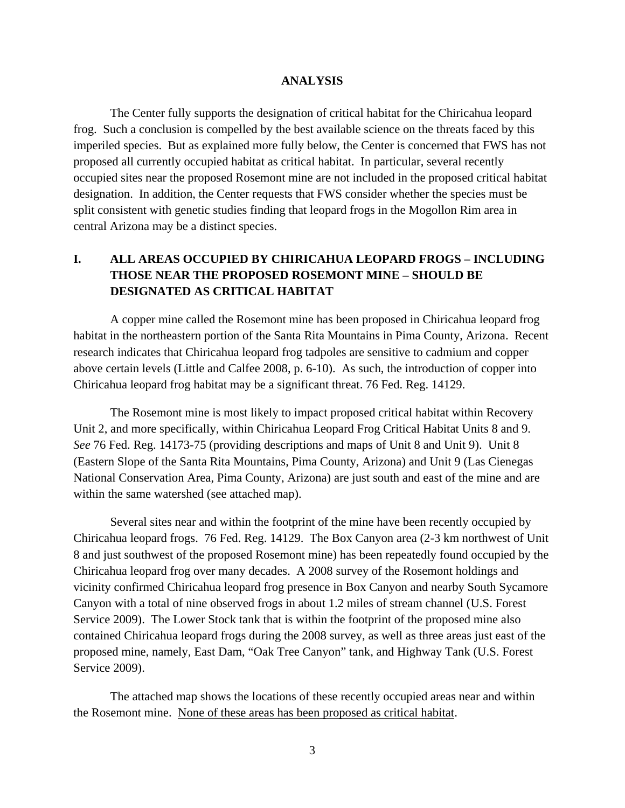#### **ANALYSIS**

 The Center fully supports the designation of critical habitat for the Chiricahua leopard frog. Such a conclusion is compelled by the best available science on the threats faced by this imperiled species. But as explained more fully below, the Center is concerned that FWS has not proposed all currently occupied habitat as critical habitat. In particular, several recently occupied sites near the proposed Rosemont mine are not included in the proposed critical habitat designation. In addition, the Center requests that FWS consider whether the species must be split consistent with genetic studies finding that leopard frogs in the Mogollon Rim area in central Arizona may be a distinct species.

# **I. ALL AREAS OCCUPIED BY CHIRICAHUA LEOPARD FROGS – INCLUDING THOSE NEAR THE PROPOSED ROSEMONT MINE – SHOULD BE DESIGNATED AS CRITICAL HABITAT**

 A copper mine called the Rosemont mine has been proposed in Chiricahua leopard frog habitat in the northeastern portion of the Santa Rita Mountains in Pima County, Arizona. Recent research indicates that Chiricahua leopard frog tadpoles are sensitive to cadmium and copper above certain levels (Little and Calfee 2008, p. 6-10). As such, the introduction of copper into Chiricahua leopard frog habitat may be a significant threat. 76 Fed. Reg. 14129.

 The Rosemont mine is most likely to impact proposed critical habitat within Recovery Unit 2, and more specifically, within Chiricahua Leopard Frog Critical Habitat Units 8 and 9. *See* 76 Fed. Reg. 14173-75 (providing descriptions and maps of Unit 8 and Unit 9). Unit 8 (Eastern Slope of the Santa Rita Mountains, Pima County, Arizona) and Unit 9 (Las Cienegas National Conservation Area, Pima County, Arizona) are just south and east of the mine and are within the same watershed (see attached map).

 Several sites near and within the footprint of the mine have been recently occupied by Chiricahua leopard frogs. 76 Fed. Reg. 14129. The Box Canyon area (2-3 km northwest of Unit 8 and just southwest of the proposed Rosemont mine) has been repeatedly found occupied by the Chiricahua leopard frog over many decades. A 2008 survey of the Rosemont holdings and vicinity confirmed Chiricahua leopard frog presence in Box Canyon and nearby South Sycamore Canyon with a total of nine observed frogs in about 1.2 miles of stream channel (U.S. Forest Service 2009). The Lower Stock tank that is within the footprint of the proposed mine also contained Chiricahua leopard frogs during the 2008 survey, as well as three areas just east of the proposed mine, namely, East Dam, "Oak Tree Canyon" tank, and Highway Tank (U.S. Forest Service 2009).

 The attached map shows the locations of these recently occupied areas near and within the Rosemont mine. None of these areas has been proposed as critical habitat.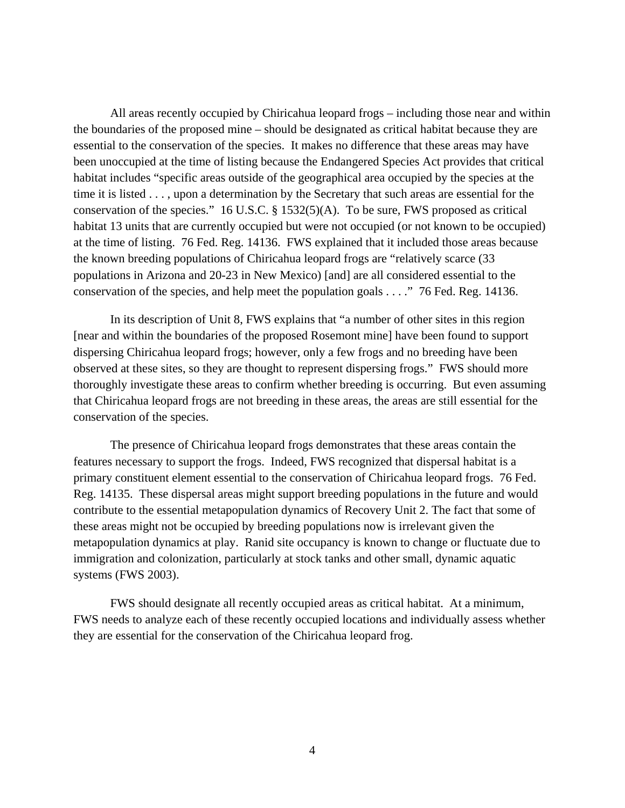All areas recently occupied by Chiricahua leopard frogs – including those near and within the boundaries of the proposed mine – should be designated as critical habitat because they are essential to the conservation of the species. It makes no difference that these areas may have been unoccupied at the time of listing because the Endangered Species Act provides that critical habitat includes "specific areas outside of the geographical area occupied by the species at the time it is listed . . . , upon a determination by the Secretary that such areas are essential for the conservation of the species." 16 U.S.C. § 1532(5)(A). To be sure, FWS proposed as critical habitat 13 units that are currently occupied but were not occupied (or not known to be occupied) at the time of listing. 76 Fed. Reg. 14136. FWS explained that it included those areas because the known breeding populations of Chiricahua leopard frogs are "relatively scarce (33 populations in Arizona and 20-23 in New Mexico) [and] are all considered essential to the conservation of the species, and help meet the population goals . . . ." 76 Fed. Reg. 14136.

 In its description of Unit 8, FWS explains that "a number of other sites in this region [near and within the boundaries of the proposed Rosemont mine] have been found to support dispersing Chiricahua leopard frogs; however, only a few frogs and no breeding have been observed at these sites, so they are thought to represent dispersing frogs." FWS should more thoroughly investigate these areas to confirm whether breeding is occurring. But even assuming that Chiricahua leopard frogs are not breeding in these areas, the areas are still essential for the conservation of the species.

 The presence of Chiricahua leopard frogs demonstrates that these areas contain the features necessary to support the frogs. Indeed, FWS recognized that dispersal habitat is a primary constituent element essential to the conservation of Chiricahua leopard frogs. 76 Fed. Reg. 14135. These dispersal areas might support breeding populations in the future and would contribute to the essential metapopulation dynamics of Recovery Unit 2. The fact that some of these areas might not be occupied by breeding populations now is irrelevant given the metapopulation dynamics at play. Ranid site occupancy is known to change or fluctuate due to immigration and colonization, particularly at stock tanks and other small, dynamic aquatic systems (FWS 2003).

 FWS should designate all recently occupied areas as critical habitat. At a minimum, FWS needs to analyze each of these recently occupied locations and individually assess whether they are essential for the conservation of the Chiricahua leopard frog.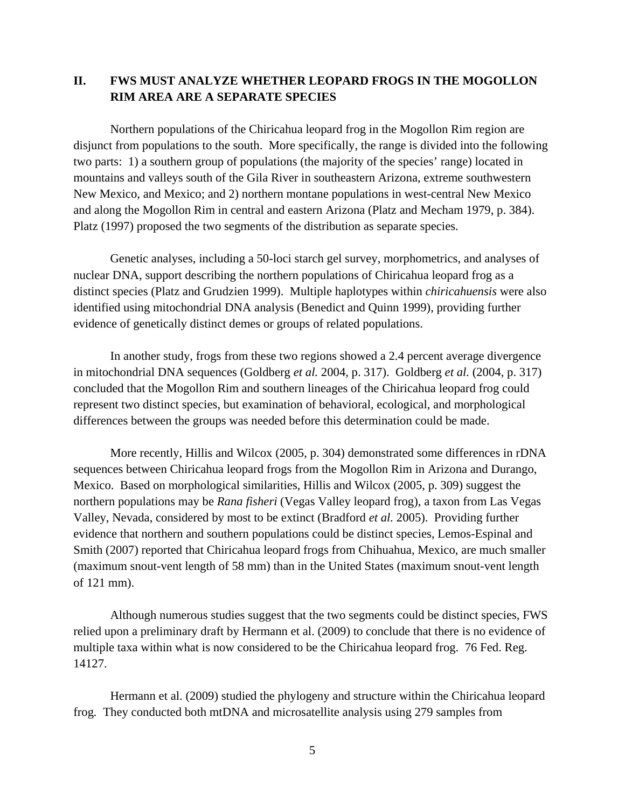## **II. FWS MUST ANALYZE WHETHER LEOPARD FROGS IN THE MOGOLLON RIM AREA ARE A SEPARATE SPECIES**

 Northern populations of the Chiricahua leopard frog in the Mogollon Rim region are disjunct from populations to the south. More specifically, the range is divided into the following two parts: 1) a southern group of populations (the majority of the species' range) located in mountains and valleys south of the Gila River in southeastern Arizona, extreme southwestern New Mexico, and Mexico; and 2) northern montane populations in west-central New Mexico and along the Mogollon Rim in central and eastern Arizona (Platz and Mecham 1979, p. 384). Platz (1997) proposed the two segments of the distribution as separate species.

 Genetic analyses, including a 50-loci starch gel survey, morphometrics, and analyses of nuclear DNA, support describing the northern populations of Chiricahua leopard frog as a distinct species (Platz and Grudzien 1999). Multiple haplotypes within *chiricahuensis* were also identified using mitochondrial DNA analysis (Benedict and Quinn 1999), providing further evidence of genetically distinct demes or groups of related populations.

 In another study, frogs from these two regions showed a 2.4 percent average divergence in mitochondrial DNA sequences (Goldberg *et al.* 2004, p. 317). Goldberg *et al.* (2004, p. 317) concluded that the Mogollon Rim and southern lineages of the Chiricahua leopard frog could represent two distinct species, but examination of behavioral, ecological, and morphological differences between the groups was needed before this determination could be made.

 More recently, Hillis and Wilcox (2005, p. 304) demonstrated some differences in rDNA sequences between Chiricahua leopard frogs from the Mogollon Rim in Arizona and Durango, Mexico. Based on morphological similarities, Hillis and Wilcox (2005, p. 309) suggest the northern populations may be *Rana fisheri* (Vegas Valley leopard frog), a taxon from Las Vegas Valley, Nevada, considered by most to be extinct (Bradford *et al.* 2005). Providing further evidence that northern and southern populations could be distinct species, Lemos-Espinal and Smith (2007) reported that Chiricahua leopard frogs from Chihuahua, Mexico, are much smaller (maximum snout-vent length of 58 mm) than in the United States (maximum snout-vent length of 121 mm).

 Although numerous studies suggest that the two segments could be distinct species, FWS relied upon a preliminary draft by Hermann et al. (2009) to conclude that there is no evidence of multiple taxa within what is now considered to be the Chiricahua leopard frog. 76 Fed. Reg. 14127.

 Hermann et al. (2009) studied the phylogeny and structure within the Chiricahua leopard frog*.* They conducted both mtDNA and microsatellite analysis using 279 samples from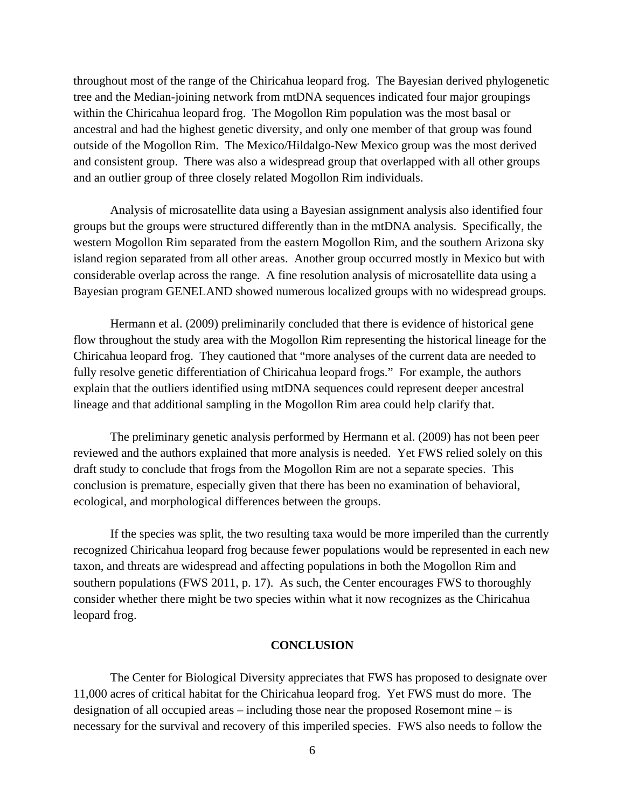throughout most of the range of the Chiricahua leopard frog. The Bayesian derived phylogenetic tree and the Median-joining network from mtDNA sequences indicated four major groupings within the Chiricahua leopard frog. The Mogollon Rim population was the most basal or ancestral and had the highest genetic diversity, and only one member of that group was found outside of the Mogollon Rim. The Mexico/Hildalgo-New Mexico group was the most derived and consistent group. There was also a widespread group that overlapped with all other groups and an outlier group of three closely related Mogollon Rim individuals.

 Analysis of microsatellite data using a Bayesian assignment analysis also identified four groups but the groups were structured differently than in the mtDNA analysis. Specifically, the western Mogollon Rim separated from the eastern Mogollon Rim, and the southern Arizona sky island region separated from all other areas. Another group occurred mostly in Mexico but with considerable overlap across the range. A fine resolution analysis of microsatellite data using a Bayesian program GENELAND showed numerous localized groups with no widespread groups.

 Hermann et al. (2009) preliminarily concluded that there is evidence of historical gene flow throughout the study area with the Mogollon Rim representing the historical lineage for the Chiricahua leopard frog. They cautioned that "more analyses of the current data are needed to fully resolve genetic differentiation of Chiricahua leopard frogs." For example, the authors explain that the outliers identified using mtDNA sequences could represent deeper ancestral lineage and that additional sampling in the Mogollon Rim area could help clarify that.

 The preliminary genetic analysis performed by Hermann et al. (2009) has not been peer reviewed and the authors explained that more analysis is needed. Yet FWS relied solely on this draft study to conclude that frogs from the Mogollon Rim are not a separate species. This conclusion is premature, especially given that there has been no examination of behavioral, ecological, and morphological differences between the groups.

 If the species was split, the two resulting taxa would be more imperiled than the currently recognized Chiricahua leopard frog because fewer populations would be represented in each new taxon, and threats are widespread and affecting populations in both the Mogollon Rim and southern populations (FWS 2011, p. 17). As such, the Center encourages FWS to thoroughly consider whether there might be two species within what it now recognizes as the Chiricahua leopard frog.

### **CONCLUSION**

The Center for Biological Diversity appreciates that FWS has proposed to designate over 11,000 acres of critical habitat for the Chiricahua leopard frog. Yet FWS must do more. The designation of all occupied areas – including those near the proposed Rosemont mine – is necessary for the survival and recovery of this imperiled species. FWS also needs to follow the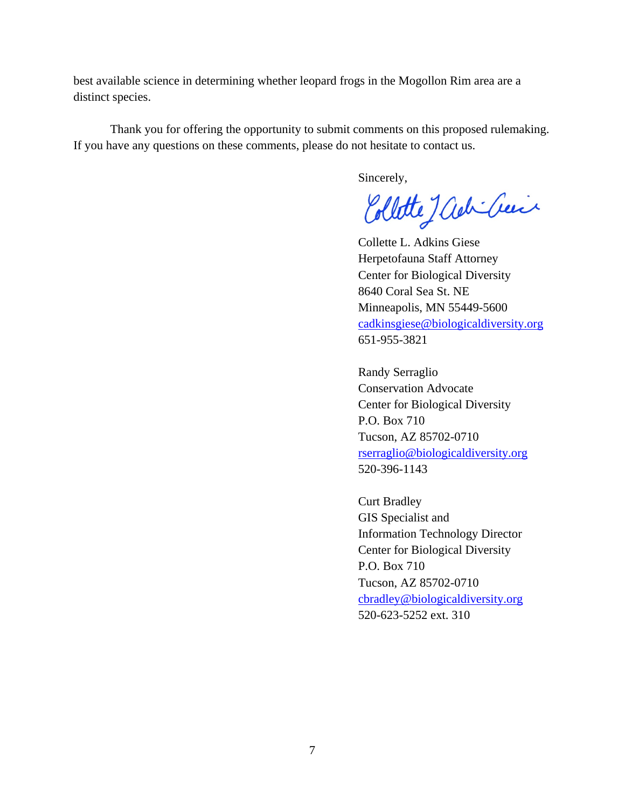best available science in determining whether leopard frogs in the Mogollon Rim area are a distinct species.

Thank you for offering the opportunity to submit comments on this proposed rulemaking. If you have any questions on these comments, please do not hesitate to contact us.

Sincerely,

Collette Jack Creix

Collette L. Adkins Giese Herpetofauna Staff Attorney Center for Biological Diversity 8640 Coral Sea St. NE Minneapolis, MN 55449-5600 cadkinsgiese@biologicaldiversity.org 651-955-3821

Randy Serraglio Conservation Advocate Center for Biological Diversity P.O. Box 710 Tucson, AZ 85702-0710 rserraglio@biologicaldiversity.org 520-396-1143

Curt Bradley GIS Specialist and Information Technology Director Center for Biological Diversity P.O. Box 710 Tucson, AZ 85702-0710 cbradley@biologicaldiversity.org 520-623-5252 ext. 310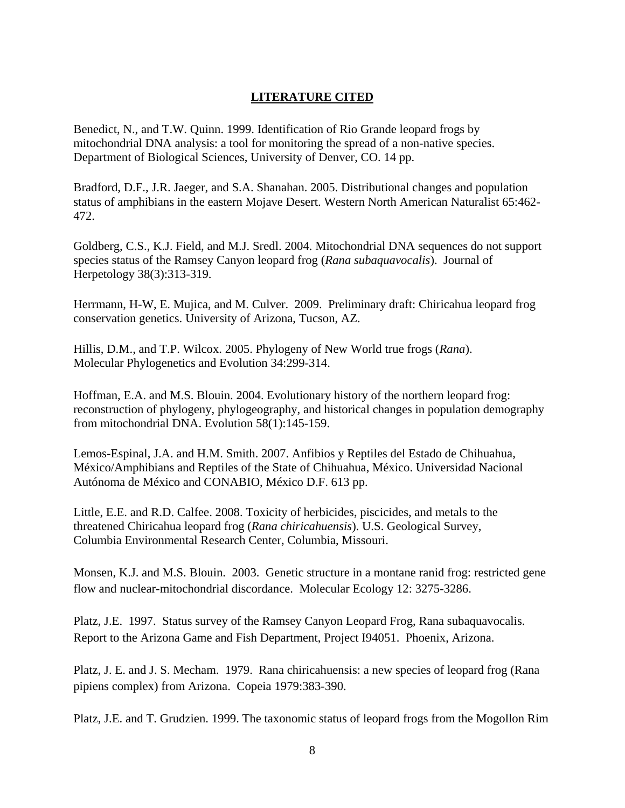## **LITERATURE CITED**

Benedict, N., and T.W. Quinn. 1999. Identification of Rio Grande leopard frogs by mitochondrial DNA analysis: a tool for monitoring the spread of a non-native species. Department of Biological Sciences, University of Denver, CO. 14 pp.

Bradford, D.F., J.R. Jaeger, and S.A. Shanahan. 2005. Distributional changes and population status of amphibians in the eastern Mojave Desert. Western North American Naturalist 65:462- 472.

Goldberg, C.S., K.J. Field, and M.J. Sredl. 2004. Mitochondrial DNA sequences do not support species status of the Ramsey Canyon leopard frog (*Rana subaquavocalis*). Journal of Herpetology 38(3):313-319.

Herrmann, H-W, E. Mujica, and M. Culver. 2009. Preliminary draft: Chiricahua leopard frog conservation genetics. University of Arizona, Tucson, AZ.

Hillis, D.M., and T.P. Wilcox. 2005. Phylogeny of New World true frogs (*Rana*). Molecular Phylogenetics and Evolution 34:299-314.

Hoffman, E.A. and M.S. Blouin. 2004. Evolutionary history of the northern leopard frog: reconstruction of phylogeny, phylogeography, and historical changes in population demography from mitochondrial DNA. Evolution 58(1):145-159.

Lemos-Espinal, J.A. and H.M. Smith. 2007. Anfibios y Reptiles del Estado de Chihuahua, México/Amphibians and Reptiles of the State of Chihuahua, México. Universidad Nacional Autónoma de México and CONABIO, México D.F. 613 pp.

Little, E.E. and R.D. Calfee. 2008. Toxicity of herbicides, piscicides, and metals to the threatened Chiricahua leopard frog (*Rana chiricahuensis*). U.S. Geological Survey, Columbia Environmental Research Center, Columbia, Missouri.

Monsen, K.J. and M.S. Blouin. 2003. Genetic structure in a montane ranid frog: restricted gene flow and nuclear-mitochondrial discordance. Molecular Ecology 12: 3275-3286.

Platz, J.E. 1997. Status survey of the Ramsey Canyon Leopard Frog, Rana subaquavocalis. Report to the Arizona Game and Fish Department, Project I94051. Phoenix, Arizona.

Platz, J. E. and J. S. Mecham. 1979. Rana chiricahuensis: a new species of leopard frog (Rana pipiens complex) from Arizona. Copeia 1979:383-390.

Platz, J.E. and T. Grudzien. 1999. The taxonomic status of leopard frogs from the Mogollon Rim